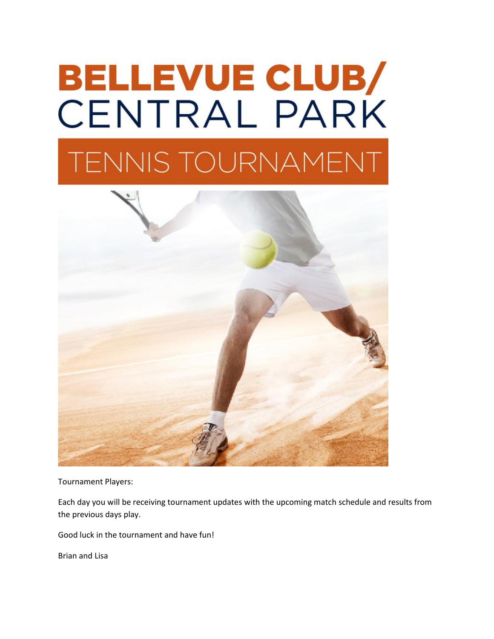# **BELLEVUE CLUB/ CENTRAL PARK TENNIS TOURNAMENT**



Tournament Players:

Each day you will be receiving tournament updates with the upcoming match schedule and results from the previous days play.

Good luck in the tournament and have fun!

Brian and Lisa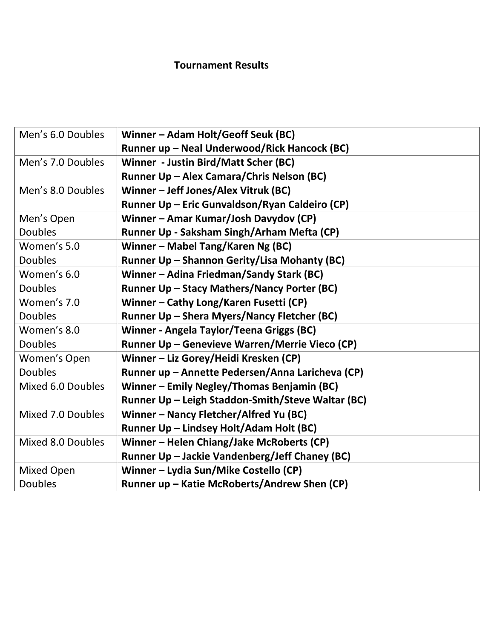# **Tournament Results**

| Men's 6.0 Doubles | Winner – Adam Holt/Geoff Seuk (BC)                |
|-------------------|---------------------------------------------------|
|                   | Runner up - Neal Underwood/Rick Hancock (BC)      |
| Men's 7.0 Doubles | Winner - Justin Bird/Matt Scher (BC)              |
|                   | Runner Up - Alex Camara/Chris Nelson (BC)         |
| Men's 8.0 Doubles | Winner - Jeff Jones/Alex Vitruk (BC)              |
|                   | Runner Up - Eric Gunvaldson/Ryan Caldeiro (CP)    |
| Men's Open        | Winner - Amar Kumar/Josh Davydov (CP)             |
| <b>Doubles</b>    | Runner Up - Saksham Singh/Arham Mefta (CP)        |
| Women's 5.0       | Winner - Mabel Tang/Karen Ng (BC)                 |
| <b>Doubles</b>    | Runner Up - Shannon Gerity/Lisa Mohanty (BC)      |
| Women's 6.0       | Winner - Adina Friedman/Sandy Stark (BC)          |
| <b>Doubles</b>    | Runner Up - Stacy Mathers/Nancy Porter (BC)       |
| Women's 7.0       | Winner - Cathy Long/Karen Fusetti (CP)            |
| <b>Doubles</b>    | Runner Up – Shera Myers/Nancy Fletcher (BC)       |
| Women's 8.0       | Winner - Angela Taylor/Teena Griggs (BC)          |
| <b>Doubles</b>    | Runner Up - Genevieve Warren/Merrie Vieco (CP)    |
| Women's Open      | Winner - Liz Gorey/Heidi Kresken (CP)             |
| <b>Doubles</b>    | Runner up - Annette Pedersen/Anna Laricheva (CP)  |
| Mixed 6.0 Doubles | Winner - Emily Negley/Thomas Benjamin (BC)        |
|                   | Runner Up - Leigh Staddon-Smith/Steve Waltar (BC) |
| Mixed 7.0 Doubles | Winner - Nancy Fletcher/Alfred Yu (BC)            |
|                   | Runner Up - Lindsey Holt/Adam Holt (BC)           |
| Mixed 8.0 Doubles | Winner - Helen Chiang/Jake McRoberts (CP)         |
|                   | Runner Up - Jackie Vandenberg/Jeff Chaney (BC)    |
| <b>Mixed Open</b> | Winner - Lydia Sun/Mike Costello (CP)             |
| <b>Doubles</b>    | Runner up - Katie McRoberts/Andrew Shen (CP)      |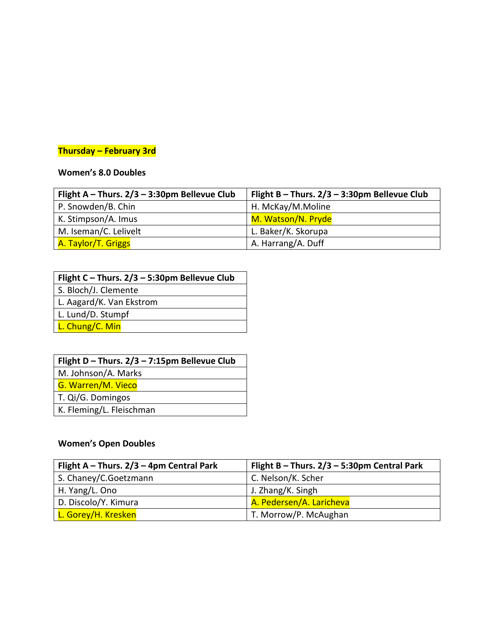#### **Thursday – February 3rd**

#### **Women's 8.0 Doubles**

| Flight A - Thurs. $2/3 - 3:30$ pm Bellevue Club | Flight B - Thurs. $2/3 - 3:30$ pm Bellevue Club |
|-------------------------------------------------|-------------------------------------------------|
| P. Snowden/B. Chin                              | H. McKay/M.Moline                               |
| K. Stimpson/A. Imus                             | M. Watson/N. Pryde                              |
| M. Iseman/C. Lelivelt                           | L. Baker/K. Skorupa                             |
| A. Taylor/T. Griggs                             | A. Harrang/A. Duff                              |

S. Bloch/J. Clemente

L. Aagard/K. Van Ekstrom

L. Lund/D. Stumpf

L. Chung/C. Min

M. Johnson/A. Marks

G. Warren/M. Vieco

T. Qi/G. Domingos

K. Fleming/L. Fleischman

#### **Women's Open Doubles**

| Flight A - Thurs. $2/3$ - 4pm Central Park | Flight B - Thurs. $2/3$ - 5:30pm Central Park |
|--------------------------------------------|-----------------------------------------------|
| S. Chaney/C. Goetzmann                     | C. Nelson/K. Scher                            |
| H. Yang/L. Ono                             | J. Zhang/K. Singh                             |
| D. Discolo/Y. Kimura                       | A. Pedersen/A. Laricheva                      |
| L. Gorey/H. Kresken                        | T. Morrow/P. McAughan                         |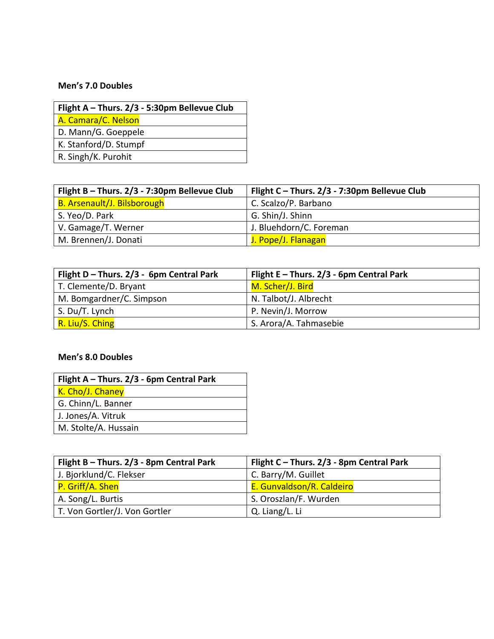#### **Men's 7.0 Doubles**

| Flight A - Thurs. 2/3 - 5:30pm Bellevue Club |  |
|----------------------------------------------|--|
| A. Camara/C. Nelson                          |  |
| D. Mann/G. Goeppele                          |  |
| K. Stanford/D. Stumpf                        |  |
| R. Singh/K. Purohit                          |  |

| Flight B - Thurs. 2/3 - 7:30pm Bellevue Club | Flight C - Thurs. 2/3 - 7:30pm Bellevue Club |
|----------------------------------------------|----------------------------------------------|
| <b>B. Arsenault/J. Bilsborough</b>           | C. Scalzo/P. Barbano                         |
| S. Yeo/D. Park                               | G. Shin/J. Shinn                             |
| V. Gamage/T. Werner                          | J. Bluehdorn/C. Foreman                      |
| M. Brennen/J. Donati                         | J. Pope/J. Flanagan                          |

| Flight D - Thurs. $2/3$ - 6pm Central Park | Flight $E$ – Thurs. 2/3 - 6pm Central Park |
|--------------------------------------------|--------------------------------------------|
| T. Clemente/D. Bryant                      | M. Scher/J. Bird                           |
| M. Bomgardner/C. Simpson                   | N. Talbot/J. Albrecht                      |
| S. Du/T. Lynch                             | P. Nevin/J. Morrow                         |
| R. Liu/S. Ching                            | S. Arora/A. Tahmasebie                     |

#### **Men's 8.0 Doubles**

| Flight A - Thurs. $2/3$ - 6pm Central Park |  |
|--------------------------------------------|--|
| K. Cho/J. Chaney                           |  |
| G. Chinn/L. Banner                         |  |
| J. Jones/A. Vitruk                         |  |
| M. Stolte/A. Hussain                       |  |

| Flight B - Thurs. 2/3 - 8pm Central Park | Flight C - Thurs. 2/3 - 8pm Central Park |
|------------------------------------------|------------------------------------------|
| J. Bjorklund/C. Flekser                  | C. Barry/M. Guillet                      |
| P. Griff/A. Shen                         | E. Gunvaldson/R. Caldeiro                |
| A. Song/L. Burtis                        | S. Oroszlan/F. Wurden                    |
| T. Von Gortler/J. Von Gortler            | Q. Liang/L. Li                           |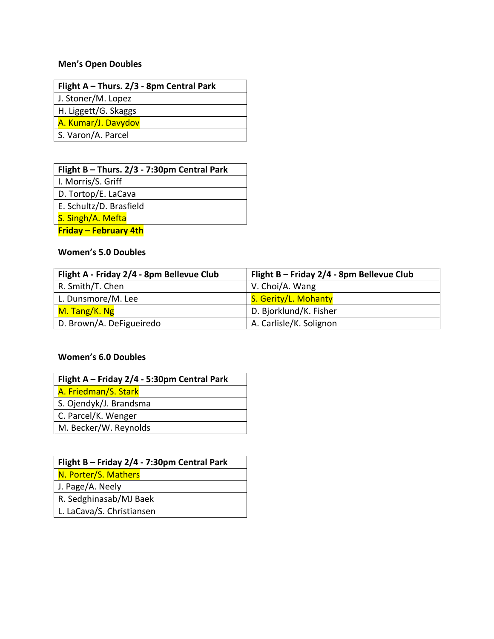## **Men's Open Doubles**

| Flight A – Thurs. $2/3$ - 8pm Central Park |  |
|--------------------------------------------|--|
| J. Stoner/M. Lopez                         |  |
| H. Liggett/G. Skaggs                       |  |
| A. Kumar/J. Davydov                        |  |
| S. Varon/A. Parcel                         |  |
|                                            |  |

| Flight B - Thurs. 2/3 - 7:30pm Central Park |  |  |
|---------------------------------------------|--|--|
| I. Morris/S. Griff                          |  |  |
| D. Tortop/E. LaCava                         |  |  |
| E. Schultz/D. Brasfield                     |  |  |
| S. Singh/A. Mefta                           |  |  |
| <b>Friday – February 4th</b>                |  |  |

#### **Women's 5.0 Doubles**

| Flight A - Friday 2/4 - 8pm Bellevue Club | Flight B - Friday 2/4 - 8pm Bellevue Club |
|-------------------------------------------|-------------------------------------------|
| R. Smith/T. Chen                          | V. Choi/A. Wang                           |
| L. Dunsmore/M. Lee                        | S. Gerity/L. Mohanty                      |
| M. Tang/K. Ng                             | D. Bjorklund/K. Fisher                    |
| D. Brown/A. DeFigueiredo                  | A. Carlisle/K. Solignon                   |

#### **Women's 6.0 Doubles**

| Flight A - Friday 2/4 - 5:30pm Central Park |
|---------------------------------------------|
| A. Friedman/S. Stark                        |
| S. Ojendyk/J. Brandsma                      |
| C. Parcel/K. Wenger                         |
| M. Becker/W. Reynolds                       |

| Flight B - Friday 2/4 - 7:30pm Central Park |
|---------------------------------------------|
| N. Porter/S. Mathers                        |
| J. Page/A. Neely                            |
| R. Sedghinasab/MJ Baek                      |
| L. LaCava/S. Christiansen                   |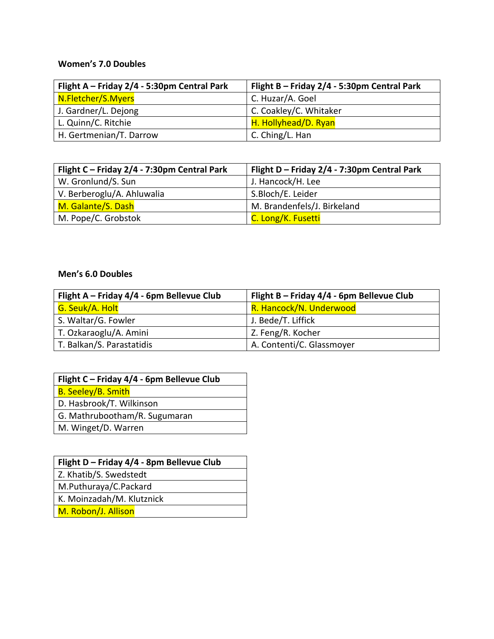### **Women's 7.0 Doubles**

| Flight A - Friday 2/4 - 5:30pm Central Park | Flight B - Friday 2/4 - 5:30pm Central Park |
|---------------------------------------------|---------------------------------------------|
| N.Fletcher/S.Myers                          | C. Huzar/A. Goel                            |
| J. Gardner/L. Dejong                        | C. Coakley/C. Whitaker                      |
| L. Quinn/C. Ritchie                         | H. Hollyhead/D. Ryan                        |
| H. Gertmenian/T. Darrow                     | C. Ching/L. Han                             |

| Flight C - Friday 2/4 - 7:30pm Central Park | Flight D - Friday 2/4 - 7:30pm Central Park |
|---------------------------------------------|---------------------------------------------|
| W. Gronlund/S. Sun                          | J. Hancock/H. Lee                           |
| V. Berberoglu/A. Ahluwalia                  | S.Bloch/E. Leider                           |
| M. Galante/S. Dash                          | M. Brandenfels/J. Birkeland                 |
| M. Pope/C. Grobstok                         | C. Long/K. Fusetti                          |

#### **Men's 6.0 Doubles**

| Flight A - Friday 4/4 - 6pm Bellevue Club | Flight B - Friday 4/4 - 6pm Bellevue Club |
|-------------------------------------------|-------------------------------------------|
| G. Seuk/A. Holt                           | R. Hancock/N. Underwood                   |
| S. Waltar/G. Fowler                       | J. Bede/T. Liffick                        |
| T. Ozkaraoglu/A. Amini                    | Z. Feng/R. Kocher                         |
| T. Balkan/S. Parastatidis                 | A. Contenti/C. Glassmoyer                 |

| Flight C - Friday 4/4 - 6pm Bellevue Club |  |
|-------------------------------------------|--|
| <b>B. Seeley/B. Smith</b>                 |  |
| D. Hasbrook/T. Wilkinson                  |  |
| G. Mathrubootham/R. Sugumaran             |  |
| M. Winget/D. Warren                       |  |

| Flight D - Friday 4/4 - 8pm Bellevue Club |  |
|-------------------------------------------|--|
| Z. Khatib/S. Swedstedt                    |  |
| M.Puthuraya/C.Packard                     |  |
| K. Moinzadah/M. Klutznick                 |  |
| M. Robon/J. Allison                       |  |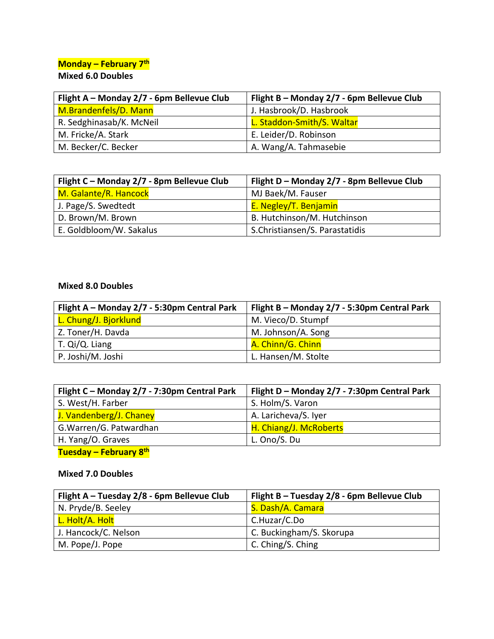# **Monday – February 7th**

#### **Mixed 6.0 Doubles**

| Flight A - Monday 2/7 - 6pm Bellevue Club | Flight B - Monday 2/7 - 6pm Bellevue Club |
|-------------------------------------------|-------------------------------------------|
| M.Brandenfels/D. Mann                     | J. Hasbrook/D. Hasbrook                   |
| R. Sedghinasab/K. McNeil                  | L. Staddon-Smith/S. Waltar                |
| M. Fricke/A. Stark                        | E. Leider/D. Robinson                     |
| M. Becker/C. Becker                       | A. Wang/A. Tahmasebie                     |

| Flight C - Monday 2/7 - 8pm Bellevue Club | Flight D - Monday 2/7 - 8pm Bellevue Club |
|-------------------------------------------|-------------------------------------------|
| M. Galante/R. Hancock                     | MJ Baek/M. Fauser                         |
| J. Page/S. Swedtedt                       | E. Negley/T. Benjamin                     |
| D. Brown/M. Brown                         | B. Hutchinson/M. Hutchinson               |
| E. Goldbloom/W. Sakalus                   | S.Christiansen/S. Parastatidis            |

#### **Mixed 8.0 Doubles**

| Flight A - Monday 2/7 - 5:30pm Central Park | Flight B – Monday 2/7 - 5:30pm Central Park |
|---------------------------------------------|---------------------------------------------|
| L. Chung/J. Bjorklund                       | M. Vieco/D. Stumpf                          |
| Z. Toner/H. Davda                           | M. Johnson/A. Song                          |
| T. Qi/Q. Liang                              | A. Chinn/G. Chinn                           |
| P. Joshi/M. Joshi                           | L. Hansen/M. Stolte                         |

| Flight C - Monday 2/7 - 7:30pm Central Park | Flight D - Monday 2/7 - 7:30pm Central Park |
|---------------------------------------------|---------------------------------------------|
| S. West/H. Farber                           | S. Holm/S. Varon                            |
| J. Vandenberg/J. Chaney                     | A. Laricheva/S. Iyer                        |
| G. Warren/G. Patwardhan                     | H. Chiang/J. McRoberts                      |
| H. Yang/O. Graves                           | L. Ono/S. Du                                |
| Tuesday – February 8 <sup>th</sup>          |                                             |

## **Mixed 7.0 Doubles**

| Flight A - Tuesday 2/8 - 6pm Bellevue Club | Flight B - Tuesday 2/8 - 6pm Bellevue Club |
|--------------------------------------------|--------------------------------------------|
| N. Pryde/B. Seeley                         | S. Dash/A. Camara                          |
| L. Holt/A. Holt                            | C.Huzar/C.Do                               |
| J. Hancock/C. Nelson                       | C. Buckingham/S. Skorupa                   |
| M. Pope/J. Pope                            | C. Ching/S. Ching                          |